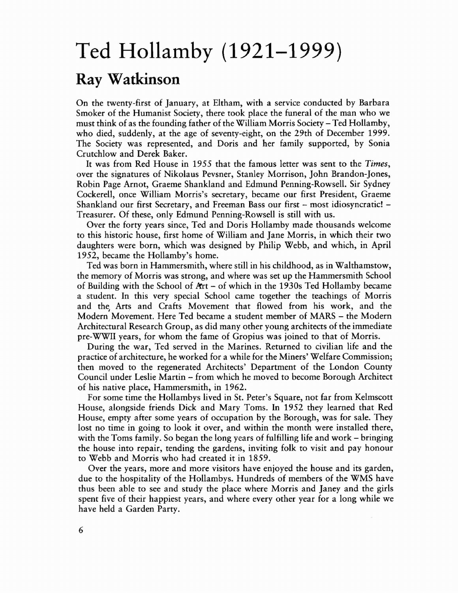## **Ted Hollamby (1921-1999) Ray Watkinson**

On the twenty-first of January, at Eltham, with a service conducted by Barbara Smoker of the Humanist Society, there took place the funeral of the man who we must think of as the founding father of the William Morris Society - Ted Hollamby, who died, suddenly, at the age of seventy-eight, on the 29th of December 1999. The Society was represented, and Doris and her family supported, by Sonia Crutchlow and Derek Baker.

It was from Red House in 1955 that the famous letter was sent to the *Times,* over the signatures of Nikolaus Pevsner, Stanley Morrison, John Brandon-Jones, Robin Page Arnot, Graeme Shankland and Edmund Penning-Rowsell. Sir Sydney Cockerell, once William Morris's secretary, became our first President, Graeme Shankland our first Secretary, and Freeman Bass our first – most idiosyncratic! – Treasurer. Of these, only Edmund Penning-Rowsell is still with us.

Over the forty years since, Ted and Doris Hollamby made thousands welcome to this historic house, first home of William and Jane Morris, in which their two daughters were born, which was designed by Philip Webb, and which, in April 1952, became the Hollamby's home.

Ted was born in Hammersmith, where still in his childhood, as in Walthamstow, the memory of Morris was strong, and where was set up the Hammersmith School of Building with the School of krt - of which in the 1930s Ted Hollamby became a student. In this very special School came together the teachings of Morris and the, Arts and Crafts Movement that flowed from his work, and the Modern Movement. Here Ted became a student member of MARS - the Modern Architectural Research Group, as did many other young architects of the immediate pre-WWII years, for whom the fame of Gropius was joined to that of Morris.

During the war, Ted served in the Marines. Returned to civilian life and the practice of architecture, he worked for a while for the Miners' Welfare Commission; then moved to the regenerated Architects' Department of the London County Council under Leslie Martin - from which he moved to become Borough Architect of his native place, Hammersmith, in 1962.

For some time the Hollambys lived in St. Peter's Square, not far from Kelmscott House, alongside friends Dick and Mary Toms. In 1952 they learned that Red House, empty after some years of occupation by the Borough, was for sale. They lost no time in going to look it over, and within the month were installed there, with the Toms family. So began the long years of fulfilling life and work - bringing the house into repair, tending the gardens, inviting folk to visit and pay honour to Webb and Morris who had created it in 1859.

Over the years, more and more visitors have enjoyed the house and its garden, due to the hospitality of the Hollambys. Hundreds of members of the WMS have thus been able to see and study the place where Morris and Janey and the girls spent five of their happiest years, and where every other year for a long while we have held a Garden Party.